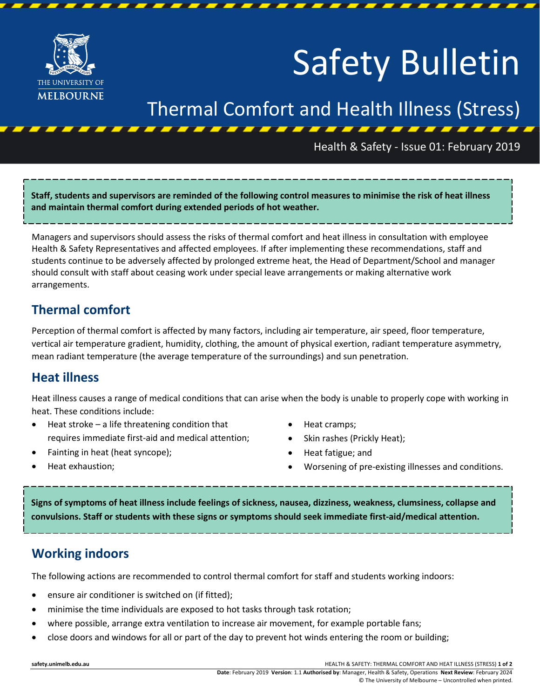

# Safety Bulletin

# Thermal Comfort and Health Illness (Stress)

#### Health & Safety - Issue 01: February 2019

**Staff, students and supervisors are reminded of the following control measures to minimise the risk of heat illness and maintain thermal comfort during extended periods of hot weather.**

Managers and supervisors should assess the risks of thermal comfort and heat illness in consultation with employee Health & Safety Representatives and affected employees. If after implementing these recommendations, staff and students continue to be adversely affected by prolonged extreme heat, the Head of Department/School and manager should consult with staff about ceasing work under special leave arrangements or making alternative work arrangements.

### **Thermal comfort**

Perception of thermal comfort is affected by many factors, including air temperature, air speed, floor temperature, vertical air temperature gradient, humidity, clothing, the amount of physical exertion, radiant temperature asymmetry, mean radiant temperature (the average temperature of the surroundings) and sun penetration.

### **Heat illness**

Heat illness causes a range of medical conditions that can arise when the body is unable to properly cope with working in heat. These conditions include:

- Heat stroke a life threatening condition that requires immediate first-aid and medical attention;
- Fainting in heat (heat syncope);
- Heat cramps;
- Skin rashes (Prickly Heat);
- Heat fatigue; and
- Worsening of pre-existing illnesses and conditions.

• Heat exhaustion;

**Signs of symptoms of heat illness include feelings of sickness, nausea, dizziness, weakness, clumsiness, collapse and convulsions. Staff or students with these signs or symptoms should seek immediate first-aid/medical attention.**

## **Working indoors**

The following actions are recommended to control thermal comfort for staff and students working indoors:

- ensure air conditioner is switched on (if fitted);
- minimise the time individuals are exposed to hot tasks through task rotation;
- where possible, arrange extra ventilation to increase air movement, for example portable fans;
- close doors and windows for all or part of the day to prevent hot winds entering the room or building;

**safety.unimelb.edu.au** HEALTH & SAFETY: THERMAL COMFORT AND HEAT ILLNESS (STRESS) **1 of 2**